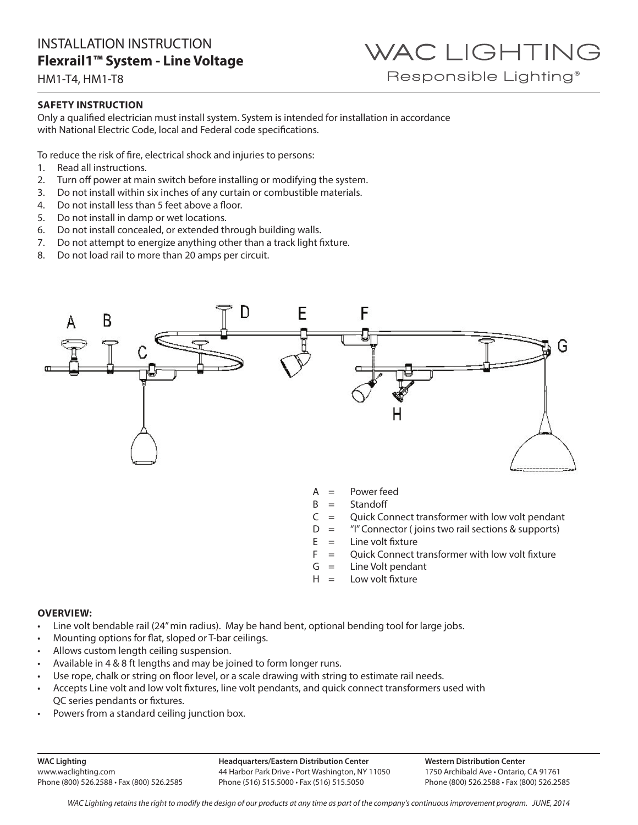HM1-T4, HM1-T8

### **SAFETY INSTRUCTION**

Only a qualified electrician must install system. System is intended for installation in accordance with National Electric Code, local and Federal code specifications.

To reduce the risk of fire, electrical shock and injuries to persons:

- 1. Read all instructions.
- 2. Turn off power at main switch before installing or modifying the system.
- 3. Do not install within six inches of any curtain or combustible materials.
- 4. Do not install less than 5 feet above a floor.
- 5. Do not install in damp or wet locations.
- 6. Do not install concealed, or extended through building walls.
- 7. Do not attempt to energize anything other than a track light fixture.
- 8. Do not load rail to more than 20 amps per circuit.



- $A = Power feed$
- $B =$ Standoff
- $C =$  Quick Connect transformer with low volt pendant

WAC LIGHTING

Responsible Lighting<sup>®</sup>

- $D =$  "I" Connector ( joins two rail sections & supports)
- $E =$  Line volt fixture
- $F =$  Ouick Connect transformer with low volt fixture
- $G =$  Line Volt pendant
- $H =$  Low volt fixture

### **OVERVIEW:**

- Line volt bendable rail (24" min radius). May be hand bent, optional bending tool for large jobs.
- Mounting options for flat, sloped or T-bar ceilings.
- Allows custom length ceiling suspension.
- Available in 4 & 8 ft lengths and may be joined to form longer runs.
- Use rope, chalk or string on floor level, or a scale drawing with string to estimate rail needs.
- Accepts Line volt and low volt fixtures, line volt pendants, and quick connect transformers used with QC series pendants or fixtures.
- Powers from a standard ceiling junction box.

**WAC Lighting** www.waclighting.com Phone (800) 526.2588 • Fax (800) 526.2585 **Headquarters/Eastern Distribution Center** 44 Harbor Park Drive • Port Washington, NY 11050 Phone (516) 515.5000 • Fax (516) 515.5050

**Western Distribution Center**  1750 Archibald Ave • Ontario, CA 91761 Phone (800) 526.2588 • Fax (800) 526.2585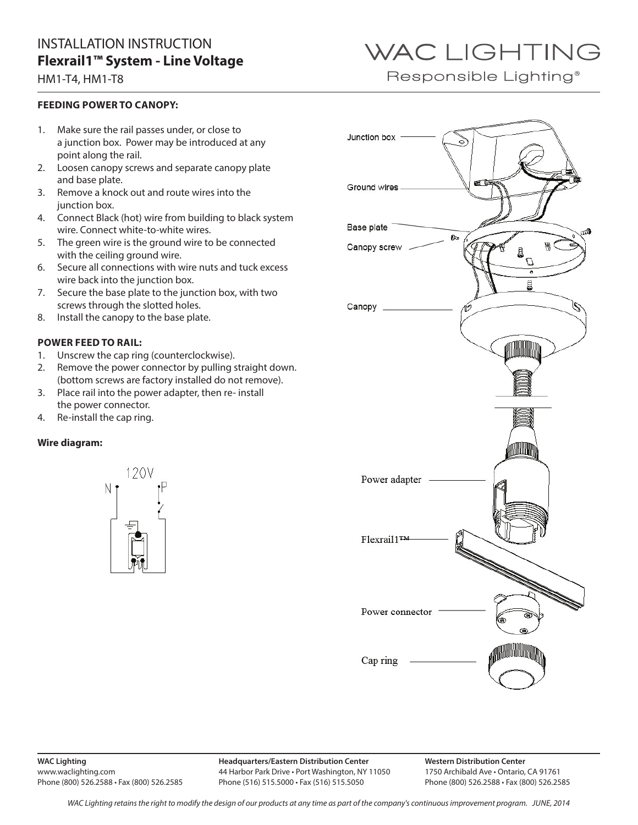### HM1-T4, HM1-T8

### **FEEDING POWER TO CANOPY:**

- 1. Make sure the rail passes under, or close to a junction box. Power may be introduced at any point along the rail.
- 2. Loosen canopy screws and separate canopy plate and base plate.
- 3. Remove a knock out and route wires into the junction box.
- 4. Connect Black (hot) wire from building to black system wire. Connect white-to-white wires.
- 5. The green wire is the ground wire to be connected with the ceiling ground wire.
- 6. Secure all connections with wire nuts and tuck excess wire back into the junction box.
- 7. Secure the base plate to the junction box, with two screws through the slotted holes.
- 8. Install the canopy to the base plate.

### **POWER FEED TO RAIL:**

- 1. Unscrew the cap ring (counterclockwise).
- 2. Remove the power connector by pulling straight down. (bottom screws are factory installed do not remove).
- 3. Place rail into the power adapter, then re- install the power connector.
- 4. Re-install the cap ring.

### **Wire diagram:**





#### **WAC Lighting** www.waclighting.com Phone (800) 526.2588 • Fax (800) 526.2585

**Headquarters/Eastern Distribution Center** 44 Harbor Park Drive • Port Washington, NY 11050 Phone (516) 515.5000 • Fax (516) 515.5050

**Western Distribution Center**  1750 Archibald Ave • Ontario, CA 91761 Phone (800) 526.2588 • Fax (800) 526.2585

# WAC LIGHTING

Responsible Lighting<sup>®</sup>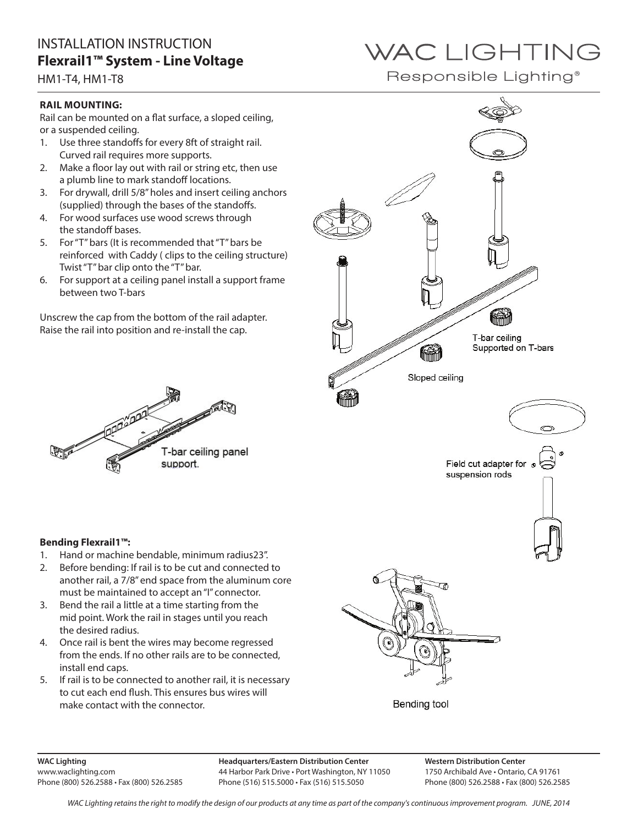HM1-T4, HM1-T8

### **RAIL MOUNTING:**

Rail can be mounted on a flat surface, a sloped ceiling, or a suspended ceiling.

- 1. Use three standoffs for every 8ft of straight rail. Curved rail requires more supports.
- 2. Make a floor lay out with rail or string etc, then use a plumb line to mark standoff locations.
- 3. For drywall, drill 5/8" holes and insert ceiling anchors (supplied) through the bases of the standoffs.
- 4. For wood surfaces use wood screws through the standoff bases.
- 5. For "T" bars (It is recommended that "T" bars be reinforced with Caddy ( clips to the ceiling structure) Twist "T" bar clip onto the "T" bar.
- 6. For support at a ceiling panel install a support frame between two T-bars

Unscrew the cap from the bottom of the rail adapter. Raise the rail into position and re-install the cap.



### **Bending Flexrail1™:**

- 1. Hand or machine bendable, minimum radius23".
- 2. Before bending: If rail is to be cut and connected to another rail, a 7/8" end space from the aluminum core must be maintained to accept an "I" connector.
- 3. Bend the rail a little at a time starting from the mid point. Work the rail in stages until you reach the desired radius.
- 4. Once rail is bent the wires may become regressed from the ends. If no other rails are to be connected, install end caps.
- 5. If rail is to be connected to another rail, it is necessary to cut each end flush. This ensures bus wires will make contact with the connector.



Responsible Lighting®



Bending tool

**WAC Lighting** www.waclighting.com Phone (800) 526.2588 • Fax (800) 526.2585 **Headquarters/Eastern Distribution Center** 44 Harbor Park Drive • Port Washington, NY 11050 Phone (516) 515.5000 • Fax (516) 515.5050

**Western Distribution Center**  1750 Archibald Ave • Ontario, CA 91761 Phone (800) 526.2588 • Fax (800) 526.2585